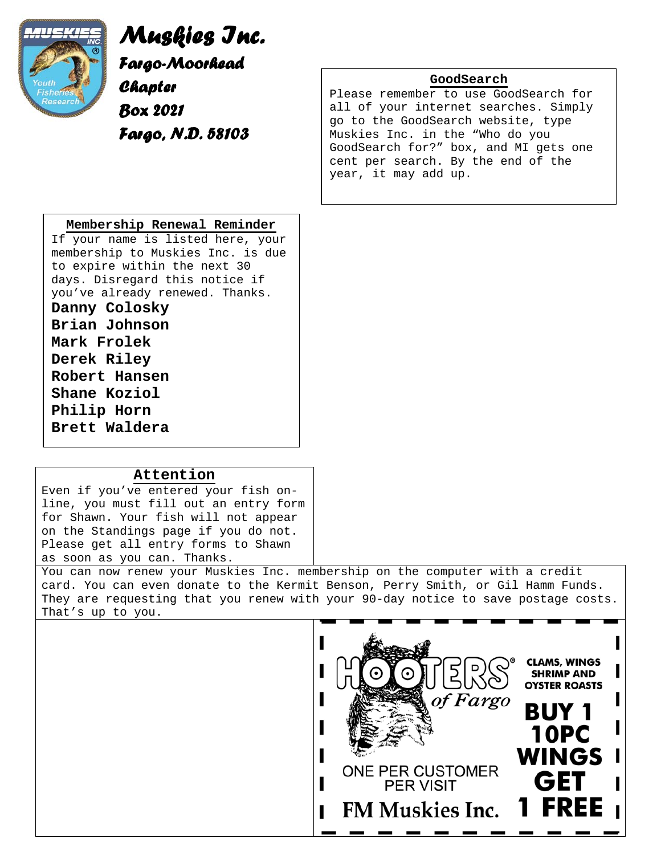

*Muskies Inc. Fargo-Moorhead Chapter Box 2021 Fargo, N.D. 58103*

**GoodSearch**

Please remember to use GoodSearch for all of your internet searches. Simply go to the GoodSearch website, type Muskies Inc. in the "Who do you GoodSearch for?" box, and MI gets one cent per search. By the end of the year, it may add up.

### **Membership Renewal Reminder**

If your name is listed here, your membership to Muskies Inc. is due to expire within the next 30 days. Disregard this notice if you've already renewed. Thanks.

**Danny Colosky Brian Johnson Mark Frolek Derek Riley Robert Hansen** 

**Shane Koziol Philip Horn Brett Waldera**

# **Attention**

Even if you've entered your fish online, you must fill out an entry form for Shawn. Your fish will not appear on the Standings page if you do not. Please get all entry forms to Shawn as soon as you can. Thanks.

You can now renew your Muskies Inc. membership on the computer with a credit card. You can even donate to the Kermit Benson, Perry Smith, or Gil Hamm Funds. They are requesting that you renew with your 90-day notice to save postage costs. That's up to you.

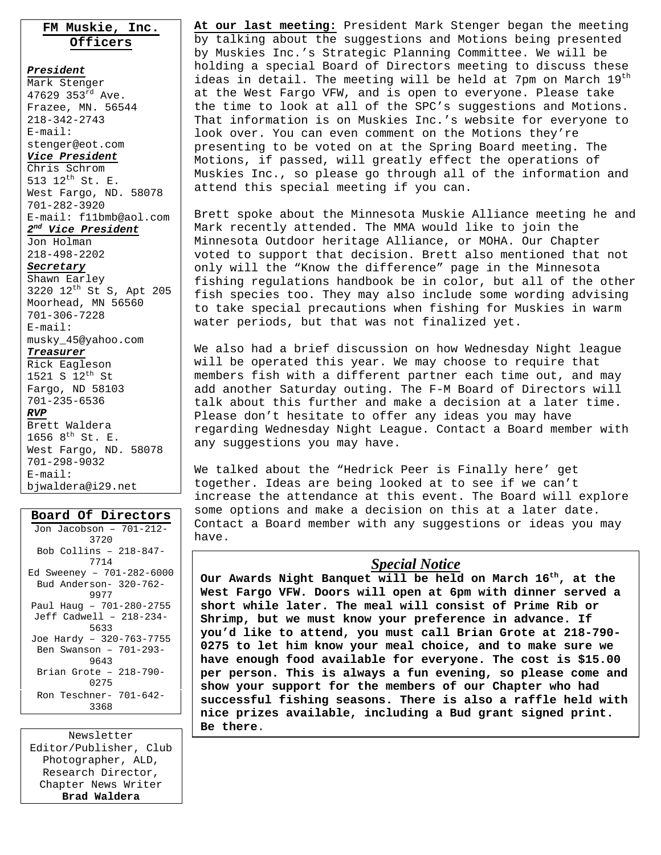# **FM Muskie, Inc. Officers**

*President* Mark Stenger 47629 353rd Ave. Frazee, MN. 56544 218-342-2743 E-mail: stenger@eot.com *Vice President* Chris Schrom 513 12th St. E. West Fargo, ND. 58078 701-282-3920 E-mail: f11bmb@aol.com *2nd Vice President* Jon Holman 218-498-2202

#### *Secretary*

### Shawn Earley

3220 12th St S, Apt 205 Moorhead, MN 56560 701-306-7228 E-mail: musky\_45@yahoo.com

### *Treasurer*

Rick Eagleson 1521 S  $12^{th}$  St Fargo, ND 58103 701-235-6536

### *RVP*

Brett Waldera 1656  $8^{th}$  St. E. West Fargo, ND. 58078 701-298-9032 E-mail: bjwaldera@i29.net

### **Board Of Directors**

| Jon Jacobson - 701-212-   |
|---------------------------|
| 3720                      |
| Bob Collins - 218-847-    |
| 7714                      |
| Ed Sweeney - 701-282-6000 |
| Bud Anderson- 320-762-    |
| 9977                      |
| Paul Haug - 701-280-2755  |
| Jeff Cadwell - 218-234-   |
| 5633                      |
| Joe Hardy - 320-763-7755  |
| Ben Swanson - 701-293-    |
| 9643                      |
| Brian Grote - 218-790-    |
| 0275                      |
| Ron Teschner- 701-642-    |
| 3368                      |
|                           |

Newsletter Editor/Publisher, Club Photographer, ALD, Research Director, Chapter News Writer **Brad Waldera** 

**At our last meeting:** President Mark Stenger began the meeting by talking about the suggestions and Motions being presented by Muskies Inc.'s Strategic Planning Committee. We will be holding a special Board of Directors meeting to discuss these ideas in detail. The meeting will be held at 7pm on March 19<sup>th</sup> at the West Fargo VFW, and is open to everyone. Please take the time to look at all of the SPC's suggestions and Motions. That information is on Muskies Inc.'s website for everyone to look over. You can even comment on the Motions they're presenting to be voted on at the Spring Board meeting. The Motions, if passed, will greatly effect the operations of Muskies Inc., so please go through all of the information and attend this special meeting if you can.

Brett spoke about the Minnesota Muskie Alliance meeting he and Mark recently attended. The MMA would like to join the Minnesota Outdoor heritage Alliance, or MOHA. Our Chapter voted to support that decision. Brett also mentioned that not only will the "Know the difference" page in the Minnesota fishing regulations handbook be in color, but all of the other fish species too. They may also include some wording advising to take special precautions when fishing for Muskies in warm water periods, but that was not finalized yet.

We also had a brief discussion on how Wednesday Night league will be operated this year. We may choose to require that members fish with a different partner each time out, and may add another Saturday outing. The F-M Board of Directors will talk about this further and make a decision at a later time. Please don't hesitate to offer any ideas you may have regarding Wednesday Night League. Contact a Board member with any suggestions you may have.

We talked about the "Hedrick Peer is Finally here' get together. Ideas are being looked at to see if we can't increase the attendance at this event. The Board will explore some options and make a decision on this at a later date. Contact a Board member with any suggestions or ideas you may have.

## *Special Notice*

**Our Awards Night Banquet will be held on March 16th, at the West Fargo VFW. Doors will open at 6pm with dinner served a short while later. The meal will consist of Prime Rib or Shrimp, but we must know your preference in advance. If you'd like to attend, you must call Brian Grote at 218-790- 0275 to let him know your meal choice, and to make sure we have enough food available for everyone. The cost is \$15.00 per person. This is always a fun evening, so please come and show your support for the members of our Chapter who had successful fishing seasons. There is also a raffle held with nice prizes available, including a Bud grant signed print. Be there**.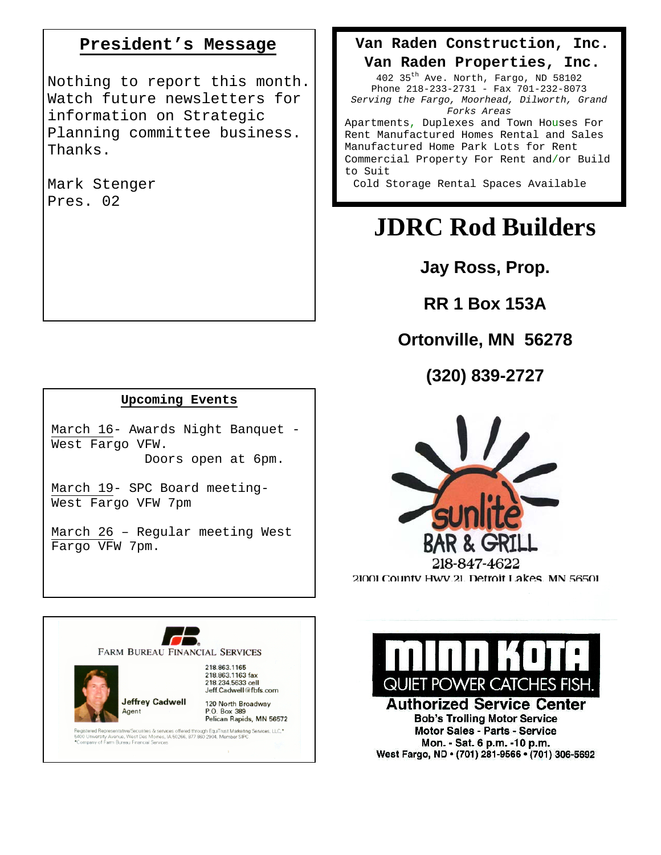# **President's Message**

Nothing to report this month. Watch future newsletters for information on Strategic Planning committee business. Thanks.

Mark Stenger Pres. 02

# **Upcoming Events**

March 16- Awards Night Banquet - West Fargo VFW. Doors open at 6pm.

March 19- SPC Board meeting-West Fargo VFW 7pm

March 26 – Regular meeting West Fargo VFW 7pm.

# **Van Raden Construction, Inc.**

**Van Raden Properties, Inc.**  402 35th Ave. North, Fargo, ND 58102 Phone 218-233-2731 - Fax 701-232-8073 *Serving the Fargo, Moorhead, Dilworth, Grand* 

*Forks Areas* Apartments, Duplexes and Town Houses For

Rent Manufactured Homes Rental and Sales Manufactured Home Park Lots for Rent Commercial Property For Rent and/or Build to Suit

Cold Storage Rental Spaces Available

# **JDRC Rod Builders**

**Jay Ross, Prop.** 

**RR 1 Box 153A** 

# **Ortonville, MN 56278**

**(320) 839-2727**



218.863.1165 218.863.1163 fax QUIET POWER CATCHES FISH 218.234.5633 cell Jeff.Cadwell@fbfs.com

> **Authorized Service Center Bob's Trolling Motor Service** Motor Sales - Parts - Service Mon. - Sat. 6 p.m. -10 p.m. West Fargo, ND · (701) 281-9566 · (701) 306-5692